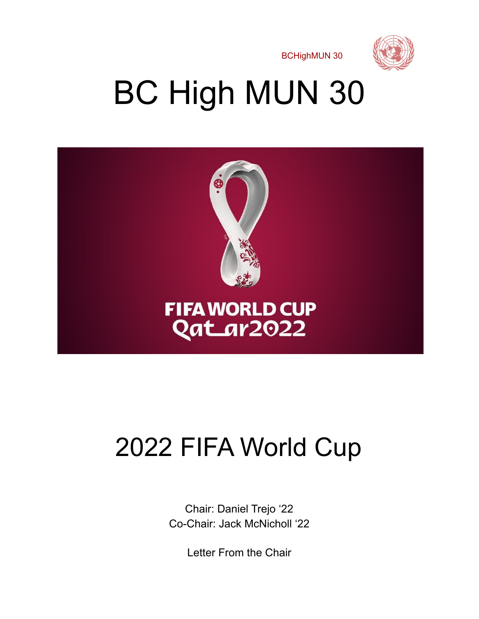

# BC High MUN 30



## 2022 FIFA World Cup

Chair: Daniel Trejo '22 Co-Chair: Jack McNicholl '22

Letter From the Chair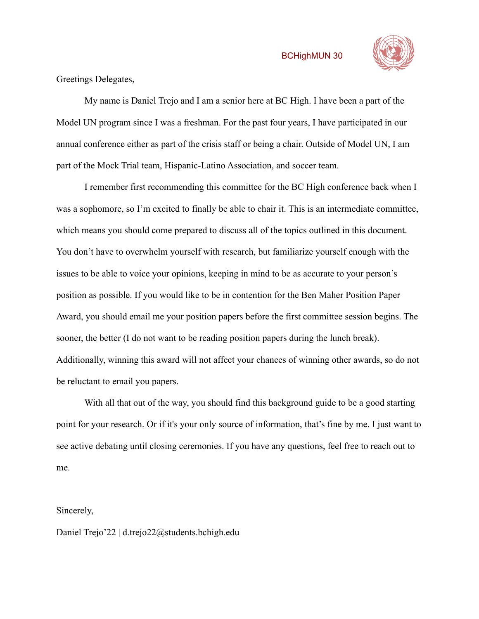

Greetings Delegates,

My name is Daniel Trejo and I am a senior here at BC High. I have been a part of the Model UN program since I was a freshman. For the past four years, I have participated in our annual conference either as part of the crisis staff or being a chair. Outside of Model UN, I am part of the Mock Trial team, Hispanic-Latino Association, and soccer team.

I remember first recommending this committee for the BC High conference back when I was a sophomore, so I'm excited to finally be able to chair it. This is an intermediate committee, which means you should come prepared to discuss all of the topics outlined in this document. You don't have to overwhelm yourself with research, but familiarize yourself enough with the issues to be able to voice your opinions, keeping in mind to be as accurate to your person's position as possible. If you would like to be in contention for the Ben Maher Position Paper Award, you should email me your position papers before the first committee session begins. The sooner, the better (I do not want to be reading position papers during the lunch break). Additionally, winning this award will not affect your chances of winning other awards, so do not be reluctant to email you papers.

With all that out of the way, you should find this background guide to be a good starting point for your research. Or if it's your only source of information, that's fine by me. I just want to see active debating until closing ceremonies. If you have any questions, feel free to reach out to me.

#### Sincerely,

Daniel Trejo'22 | d.trejo22@students.bchigh.edu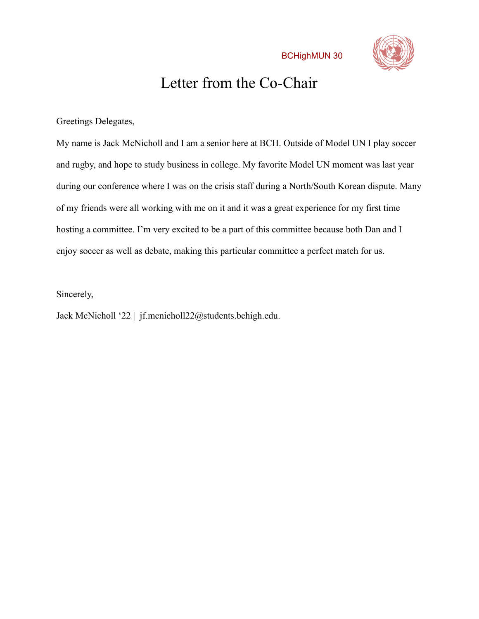

### Letter from the Co-Chair

Greetings Delegates,

My name is Jack McNicholl and I am a senior here at BCH. Outside of Model UN I play soccer and rugby, and hope to study business in college. My favorite Model UN moment was last year during our conference where I was on the crisis staff during a North/South Korean dispute. Many of my friends were all working with me on it and it was a great experience for my first time hosting a committee. I'm very excited to be a part of this committee because both Dan and I enjoy soccer as well as debate, making this particular committee a perfect match for us.

Sincerely,

Jack McNicholl '22 | jf.mcnicholl22@students.bchigh.edu.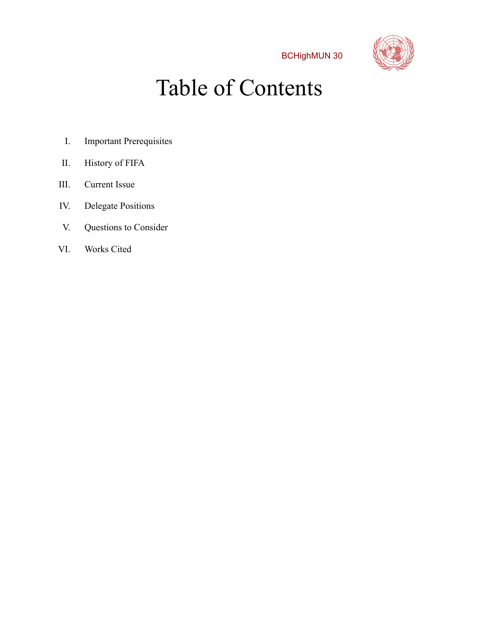

### Table of Contents

- I. Important Prerequisites
- II. History of FIFA
- III. Current Issue
- IV. Delegate Positions
- V. Questions to Consider
- VI. Works Cited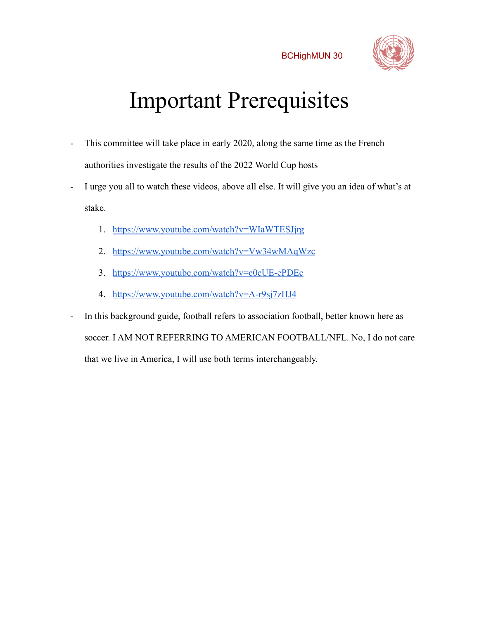

## Important Prerequisites

- This committee will take place in early 2020, along the same time as the French authorities investigate the results of the 2022 World Cup hosts
- I urge you all to watch these videos, above all else. It will give you an idea of what's at stake.
	- 1. <https://www.youtube.com/watch?v=WIaWTESJjrg>
	- 2. <https://www.youtube.com/watch?v=Vw34wMAqWzc>
	- 3. <https://www.youtube.com/watch?v=c0cUE-ePDEc>
	- 4. <https://www.youtube.com/watch?v=A-r9sj7zHJ4>
- In this background guide, football refers to association football, better known here as soccer. I AM NOT REFERRING TO AMERICAN FOOTBALL/NFL. No, I do not care that we live in America, I will use both terms interchangeably.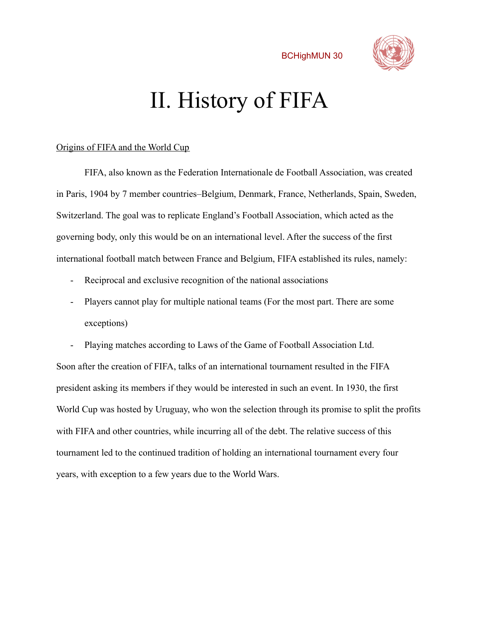

### II. History of FIFA

#### Origins of FIFA and the World Cup

FIFA, also known as the Federation Internationale de Football Association, was created in Paris, 1904 by 7 member countries–Belgium, Denmark, France, Netherlands, Spain, Sweden, Switzerland. The goal was to replicate England's Football Association, which acted as the governing body, only this would be on an international level. After the success of the first international football match between France and Belgium, FIFA established its rules, namely:

- Reciprocal and exclusive recognition of the national associations
- Players cannot play for multiple national teams (For the most part. There are some exceptions)

Playing matches according to Laws of the Game of Football Association Ltd. Soon after the creation of FIFA, talks of an international tournament resulted in the FIFA president asking its members if they would be interested in such an event. In 1930, the first World Cup was hosted by Uruguay, who won the selection through its promise to split the profits with FIFA and other countries, while incurring all of the debt. The relative success of this tournament led to the continued tradition of holding an international tournament every four years, with exception to a few years due to the World Wars.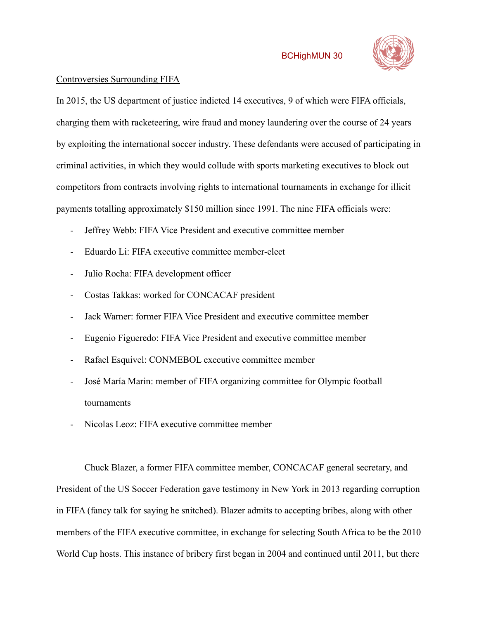

### Controversies Surrounding FIFA

In 2015, the US department of justice indicted 14 executives, 9 of which were FIFA officials, charging them with racketeering, wire fraud and money laundering over the course of 24 years by exploiting the international soccer industry. These defendants were accused of participating in criminal activities, in which they would collude with sports marketing executives to block out competitors from contracts involving rights to international tournaments in exchange for illicit payments totalling approximately \$150 million since 1991. The nine FIFA officials were:

- Jeffrey Webb: FIFA Vice President and executive committee member
- Eduardo Li: FIFA executive committee member-elect
- Julio Rocha: FIFA development officer
- Costas Takkas: worked for CONCACAF president
- Jack Warner: former FIFA Vice President and executive committee member
- Eugenio Figueredo: FIFA Vice President and executive committee member
- Rafael Esquivel: CONMEBOL executive committee member
- José María Marin: member of FIFA organizing committee for Olympic football tournaments
- Nicolas Leoz: FIFA executive committee member

Chuck Blazer, a former FIFA committee member, CONCACAF general secretary, and President of the US Soccer Federation gave testimony in New York in 2013 regarding corruption in FIFA (fancy talk for saying he snitched). Blazer admits to accepting bribes, along with other members of the FIFA executive committee, in exchange for selecting South Africa to be the 2010 World Cup hosts. This instance of bribery first began in 2004 and continued until 2011, but there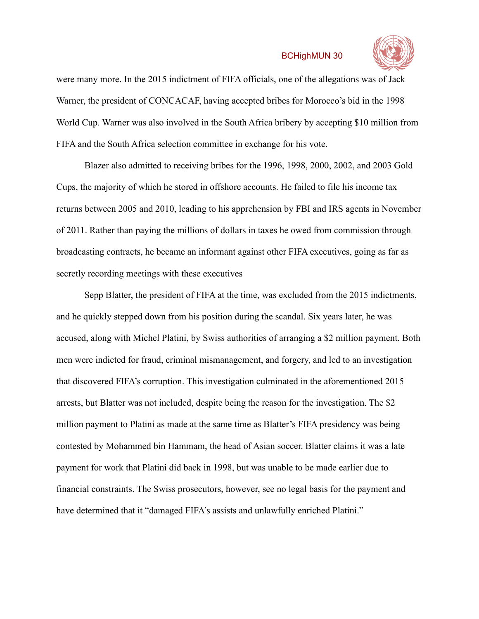

were many more. In the 2015 indictment of FIFA officials, one of the allegations was of Jack Warner, the president of CONCACAF, having accepted bribes for Morocco's bid in the 1998 World Cup. Warner was also involved in the South Africa bribery by accepting \$10 million from FIFA and the South Africa selection committee in exchange for his vote.

Blazer also admitted to receiving bribes for the 1996, 1998, 2000, 2002, and 2003 Gold Cups, the majority of which he stored in offshore accounts. He failed to file his income tax returns between 2005 and 2010, leading to his apprehension by FBI and IRS agents in November of 2011. Rather than paying the millions of dollars in taxes he owed from commission through broadcasting contracts, he became an informant against other FIFA executives, going as far as secretly recording meetings with these executives

Sepp Blatter, the president of FIFA at the time, was excluded from the 2015 indictments, and he quickly stepped down from his position during the scandal. Six years later, he was accused, along with Michel Platini, by Swiss authorities of arranging a \$2 million payment. Both men were indicted for fraud, criminal mismanagement, and forgery, and led to an investigation that discovered FIFA's corruption. This investigation culminated in the aforementioned 2015 arrests, but Blatter was not included, despite being the reason for the investigation. The \$2 million payment to Platini as made at the same time as Blatter's FIFA presidency was being contested by Mohammed bin Hammam, the head of Asian soccer. Blatter claims it was a late payment for work that Platini did back in 1998, but was unable to be made earlier due to financial constraints. The Swiss prosecutors, however, see no legal basis for the payment and have determined that it "damaged FIFA's assists and unlawfully enriched Platini."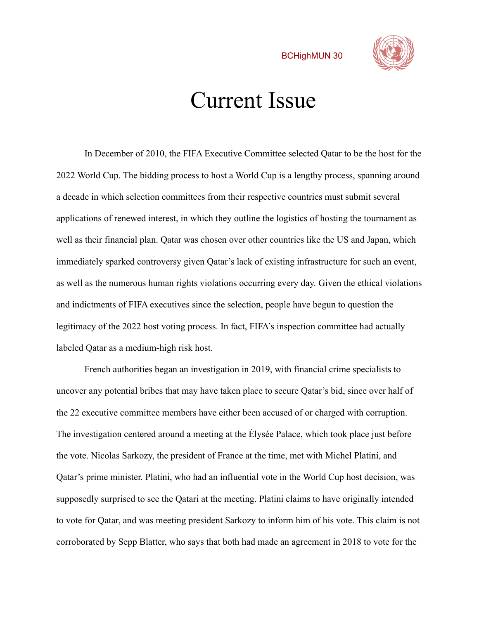

### Current Issue

In December of 2010, the FIFA Executive Committee selected Qatar to be the host for the 2022 World Cup. The bidding process to host a World Cup is a lengthy process, spanning around a decade in which selection committees from their respective countries must submit several applications of renewed interest, in which they outline the logistics of hosting the tournament as well as their financial plan. Qatar was chosen over other countries like the US and Japan, which immediately sparked controversy given Qatar's lack of existing infrastructure for such an event, as well as the numerous human rights violations occurring every day. Given the ethical violations and indictments of FIFA executives since the selection, people have begun to question the legitimacy of the 2022 host voting process. In fact, FIFA's inspection committee had actually labeled Qatar as a medium-high risk host.

French authorities began an investigation in 2019, with financial crime specialists to uncover any potential bribes that may have taken place to secure Qatar's bid, since over half of the 22 executive committee members have either been accused of or charged with corruption. The investigation centered around a meeting at the Élysée Palace, which took place just before the vote. Nicolas Sarkozy, the president of France at the time, met with Michel Platini, and Qatar's prime minister. Platini, who had an influential vote in the World Cup host decision, was supposedly surprised to see the Qatari at the meeting. Platini claims to have originally intended to vote for Qatar, and was meeting president Sarkozy to inform him of his vote. This claim is not corroborated by Sepp Blatter, who says that both had made an agreement in 2018 to vote for the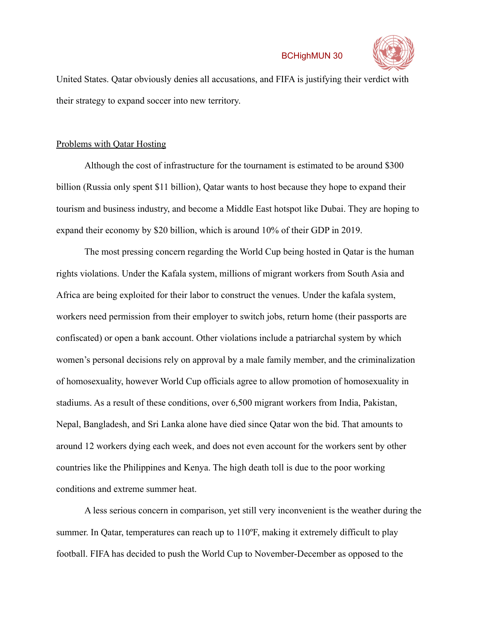

United States. Qatar obviously denies all accusations, and FIFA is justifying their verdict with their strategy to expand soccer into new territory.

#### Problems with Qatar Hosting

Although the cost of infrastructure for the tournament is estimated to be around \$300 billion (Russia only spent \$11 billion), Qatar wants to host because they hope to expand their tourism and business industry, and become a Middle East hotspot like Dubai. They are hoping to expand their economy by \$20 billion, which is around 10% of their GDP in 2019.

The most pressing concern regarding the World Cup being hosted in Qatar is the human rights violations. Under the Kafala system, millions of migrant workers from South Asia and Africa are being exploited for their labor to construct the venues. Under the kafala system, workers need permission from their employer to switch jobs, return home (their passports are confiscated) or open a bank account. Other violations include a patriarchal system by which women's personal decisions rely on approval by a male family member, and the criminalization of homosexuality, however World Cup officials agree to allow promotion of homosexuality in stadiums. As a result of these conditions, over 6,500 migrant workers from India, Pakistan, Nepal, Bangladesh, and Sri Lanka alone have died since Qatar won the bid. That amounts to around 12 workers dying each week, and does not even account for the workers sent by other countries like the Philippines and Kenya. The high death toll is due to the poor working conditions and extreme summer heat.

A less serious concern in comparison, yet still very inconvenient is the weather during the summer. In Qatar, temperatures can reach up to 110ºF, making it extremely difficult to play football. FIFA has decided to push the World Cup to November-December as opposed to the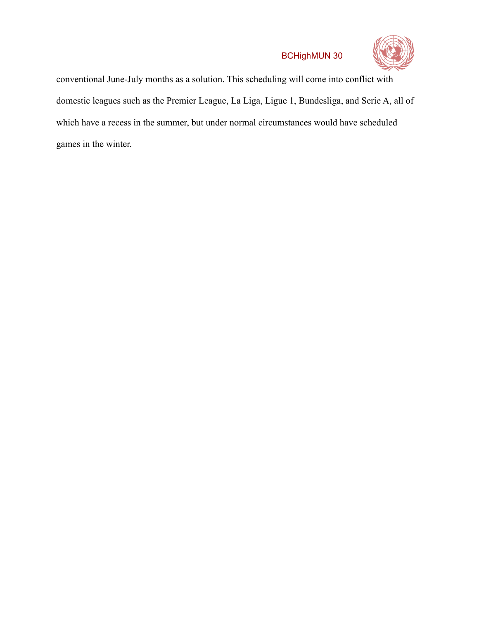

conventional June-July months as a solution. This scheduling will come into conflict with domestic leagues such as the Premier League, La Liga, Ligue 1, Bundesliga, and Serie A, all of which have a recess in the summer, but under normal circumstances would have scheduled games in the winter.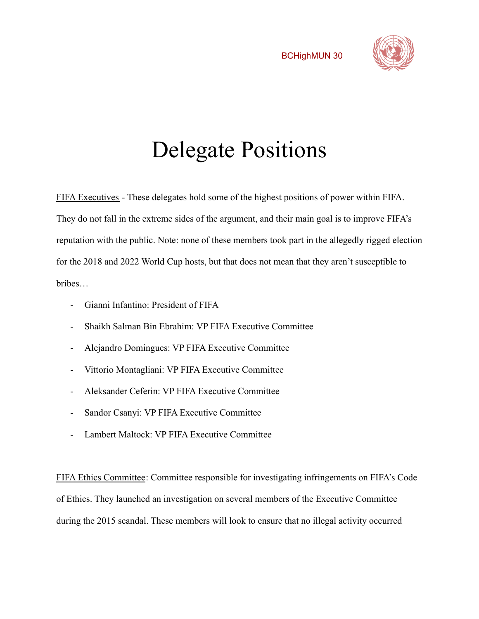

### Delegate Positions

FIFA Executives - These delegates hold some of the highest positions of power within FIFA. They do not fall in the extreme sides of the argument, and their main goal is to improve FIFA's reputation with the public. Note: none of these members took part in the allegedly rigged election for the 2018 and 2022 World Cup hosts, but that does not mean that they aren't susceptible to bribes…

- Gianni Infantino: President of FIFA
- Shaikh Salman Bin Ebrahim: VP FIFA Executive Committee
- Alejandro Domingues: VP FIFA Executive Committee
- Vittorio Montagliani: VP FIFA Executive Committee
- Aleksander Ceferin: VP FIFA Executive Committee
- Sandor Csanyi: VP FIFA Executive Committee
- Lambert Maltock: VP FIFA Executive Committee

FIFA Ethics Committee: Committee responsible for investigating infringements on FIFA's Code of Ethics. They launched an investigation on several members of the Executive Committee during the 2015 scandal. These members will look to ensure that no illegal activity occurred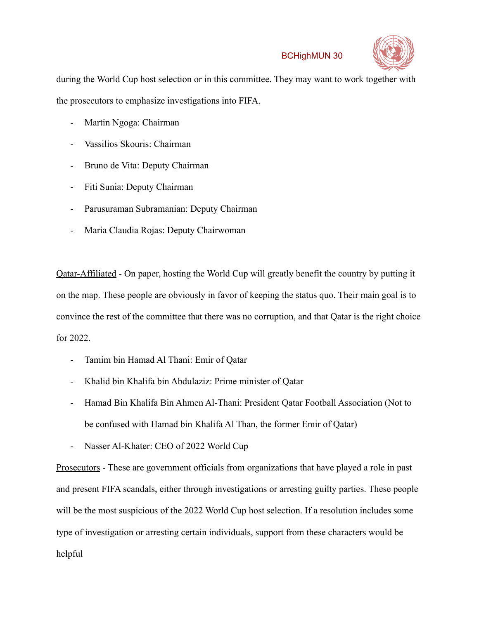

during the World Cup host selection or in this committee. They may want to work together with the prosecutors to emphasize investigations into FIFA.

- Martin Ngoga: Chairman
- Vassilios Skouris: Chairman
- Bruno de Vita: Deputy Chairman
- Fiti Sunia: Deputy Chairman
- Parusuraman Subramanian: Deputy Chairman
- Maria Claudia Rojas: Deputy Chairwoman

Qatar-Affiliated - On paper, hosting the World Cup will greatly benefit the country by putting it on the map. These people are obviously in favor of keeping the status quo. Their main goal is to convince the rest of the committee that there was no corruption, and that Qatar is the right choice for 2022.

- Tamim bin Hamad Al Thani: Emir of Qatar
- Khalid bin Khalifa bin Abdulaziz: Prime minister of Qatar
- Hamad Bin Khalifa Bin Ahmen Al-Thani: President Qatar Football Association (Not to be confused with Hamad bin Khalifa Al Than, the former Emir of Qatar)
- Nasser Al-Khater: CEO of 2022 World Cup

Prosecutors - These are government officials from organizations that have played a role in past and present FIFA scandals, either through investigations or arresting guilty parties. These people will be the most suspicious of the 2022 World Cup host selection. If a resolution includes some type of investigation or arresting certain individuals, support from these characters would be helpful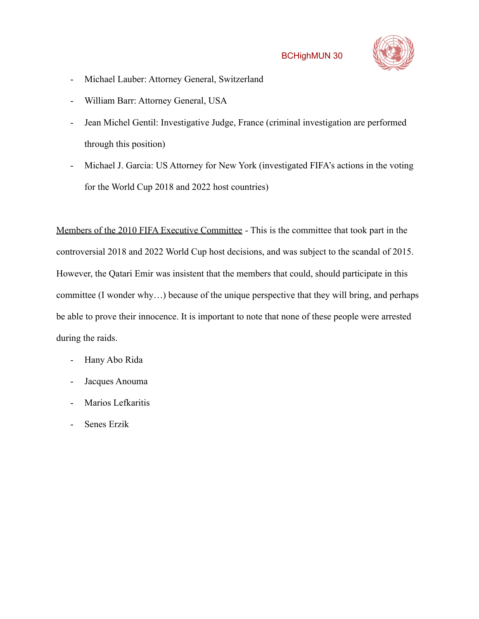

- Michael Lauber: Attorney General, Switzerland
- William Barr: Attorney General, USA
- Jean Michel Gentil: Investigative Judge, France (criminal investigation are performed through this position)
- Michael J. Garcia: US Attorney for New York (investigated FIFA's actions in the voting for the World Cup 2018 and 2022 host countries)

Members of the 2010 FIFA Executive Committee - This is the committee that took part in the controversial 2018 and 2022 World Cup host decisions, and was subject to the scandal of 2015. However, the Qatari Emir was insistent that the members that could, should participate in this committee (I wonder why…) because of the unique perspective that they will bring, and perhaps be able to prove their innocence. It is important to note that none of these people were arrested during the raids.

- Hany Abo Rida
- Jacques Anouma
- Marios Lefkaritis
- Senes Erzik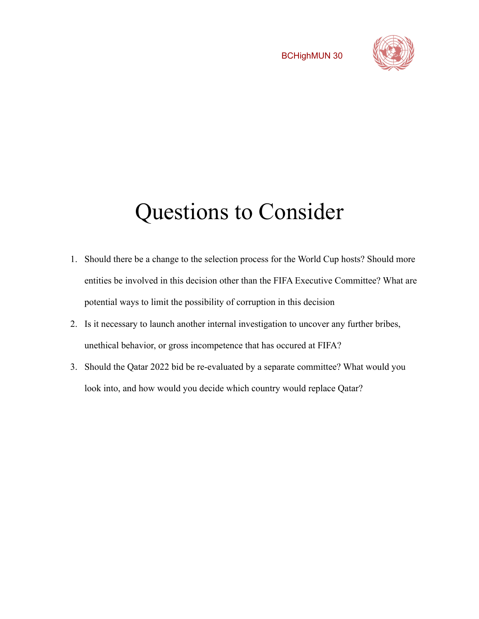

### Questions to Consider

- 1. Should there be a change to the selection process for the World Cup hosts? Should more entities be involved in this decision other than the FIFA Executive Committee? What are potential ways to limit the possibility of corruption in this decision
- 2. Is it necessary to launch another internal investigation to uncover any further bribes, unethical behavior, or gross incompetence that has occured at FIFA?
- 3. Should the Qatar 2022 bid be re-evaluated by a separate committee? What would you look into, and how would you decide which country would replace Qatar?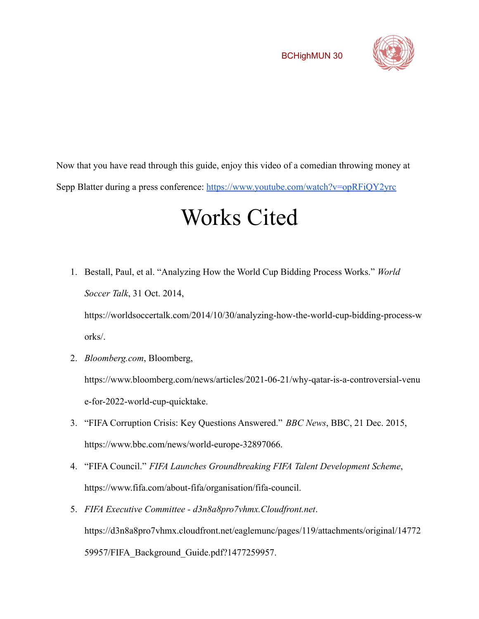

Now that you have read through this guide, enjoy this video of a comedian throwing money at Sepp Blatter during a press conference: <https://www.youtube.com/watch?v=opRFiQY2yrc>

### Works Cited

1. Bestall, Paul, et al. "Analyzing How the World Cup Bidding Process Works." *World Soccer Talk*, 31 Oct. 2014, https://worldsoccertalk.com/2014/10/30/analyzing-how-the-world-cup-bidding-process-w

orks/.

- 2. *Bloomberg.com*, Bloomberg, https://www.bloomberg.com/news/articles/2021-06-21/why-qatar-is-a-controversial-venu e-for-2022-world-cup-quicktake.
- 3. "FIFA Corruption Crisis: Key Questions Answered." *BBC News*, BBC, 21 Dec. 2015, https://www.bbc.com/news/world-europe-32897066.
- 4. "FIFA Council." *FIFA Launches Groundbreaking FIFA Talent Development Scheme*, https://www.fifa.com/about-fifa/organisation/fifa-council.
- 5. *FIFA Executive Committee d3n8a8pro7vhmx.Cloudfront.net*. https://d3n8a8pro7vhmx.cloudfront.net/eaglemunc/pages/119/attachments/original/14772 59957/FIFA\_Background\_Guide.pdf?1477259957.